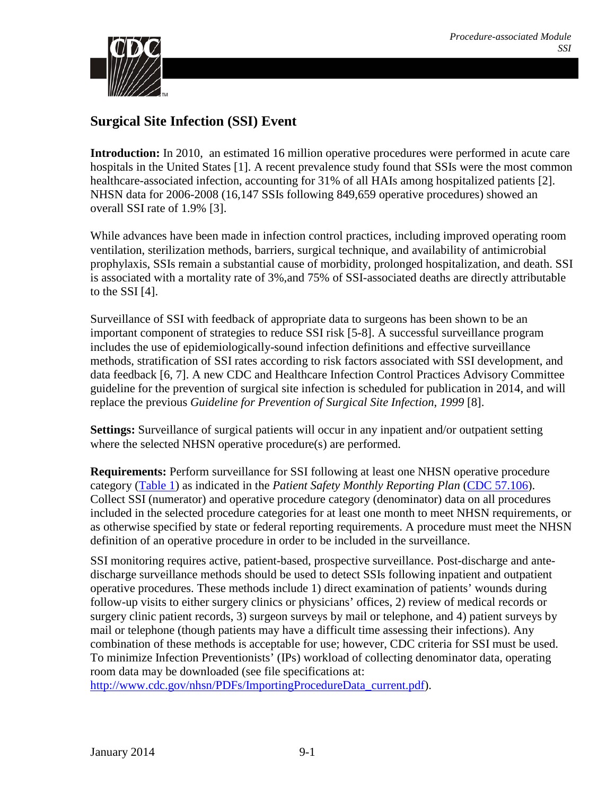

# **Surgical Site Infection (SSI) Event**

**Introduction:** In 2010, an estimated 16 million operative procedures were performed in acute care hospitals in the United States [\[1\]](#page-21-0). A recent prevalence study found that SSIs were the most common healthcare-associated infection, accounting for 31% of all HAIs among hospitalized patients [\[2\]](#page-21-1). NHSN data for 2006-2008 (16,147 SSIs following 849,659 operative procedures) showed an overall SSI rate of 1.9% [\[3\]](#page-21-2).

While advances have been made in infection control practices, including improved operating room ventilation, sterilization methods, barriers, surgical technique, and availability of antimicrobial prophylaxis, SSIs remain a substantial cause of morbidity, prolonged hospitalization, and death. SSI is associated with a mortality rate of 3%,and 75% of SSI-associated deaths are directly attributable to the SSI  $[4]$ .

Surveillance of SSI with feedback of appropriate data to surgeons has been shown to be an important component of strategies to reduce SSI risk [\[5-8\]](#page-21-4). A successful surveillance program includes the use of epidemiologically-sound infection definitions and effective surveillance methods, stratification of SSI rates according to risk factors associated with SSI development, and data feedback [\[6,](#page-21-5) [7\]](#page-21-6). A new CDC and Healthcare Infection Control Practices Advisory Committee guideline for the prevention of surgical site infection is scheduled for publication in 2014, and will replace the previous *Guideline for Prevention of Surgical Site Infection*, *1999* [\[8\]](#page-21-7).

**Settings:** Surveillance of surgical patients will occur in any inpatient and/or outpatient setting where the selected NHSN operative procedure(s) are performed.

**Requirements:** Perform surveillance for SSI following at least one NHSN operative procedure category [\(Table 1\)](#page-2-0) as indicated in the *Patient Safety Monthly Reporting Plan* [\(CDC 57.106\)](http://www.cdc.gov/nhsn/forms/57.106_PSReportPlan_BLANK.pdf). Collect SSI (numerator) and operative procedure category (denominator) data on all procedures included in the selected procedure categories for at least one month to meet NHSN requirements, or as otherwise specified by state or federal reporting requirements. A procedure must meet the NHSN definition of an operative procedure in order to be included in the surveillance.

SSI monitoring requires active, patient-based, prospective surveillance. Post-discharge and antedischarge surveillance methods should be used to detect SSIs following inpatient and outpatient operative procedures. These methods include 1) direct examination of patients' wounds during follow-up visits to either surgery clinics or physicians' offices, 2) review of medical records or surgery clinic patient records, 3) surgeon surveys by mail or telephone, and 4) patient surveys by mail or telephone (though patients may have a difficult time assessing their infections). Any combination of these methods is acceptable for use; however, CDC criteria for SSI must be used. To minimize Infection Preventionists' (IPs) workload of collecting denominator data, operating room data may be downloaded (see file specifications at:

[http://www.cdc.gov/nhsn/PDFs/ImportingProcedureData\\_current.pdf\)](http://www.cdc.gov/nhsn/PDFs/ImportingProcedureData_current.pdf).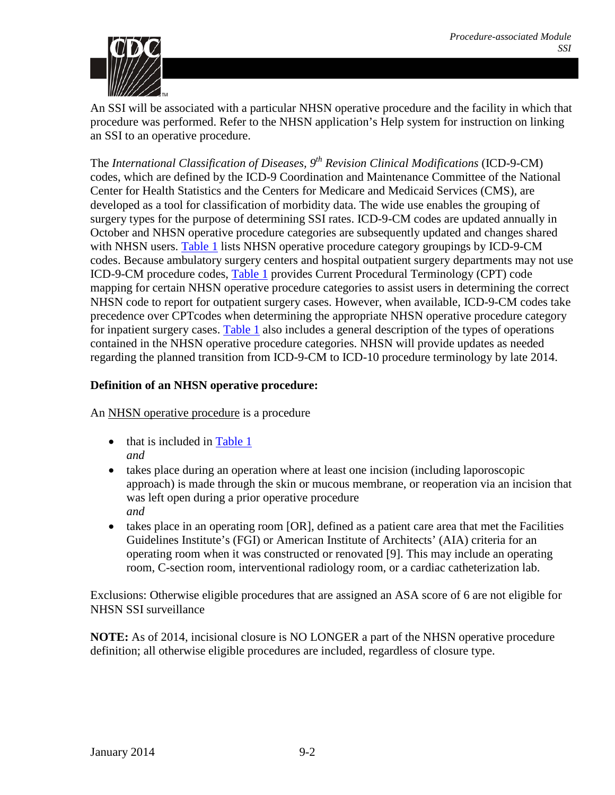

An SSI will be associated with a particular NHSN operative procedure and the facility in which that procedure was performed. Refer to the NHSN application's Help system for instruction on linking an SSI to an operative procedure.

The *International Classification of Diseases, 9th Revision Clinical Modifications* (ICD-9-CM) codes, which are defined by the ICD-9 Coordination and Maintenance Committee of the National Center for Health Statistics and the Centers for Medicare and Medicaid Services (CMS), are developed as a tool for classification of morbidity data. The wide use enables the grouping of surgery types for the purpose of determining SSI rates. ICD-9-CM codes are updated annually in October and NHSN operative procedure categories are subsequently updated and changes shared with NHSN users. [Table 1](#page-2-0) lists NHSN operative procedure category groupings by ICD-9-CM codes. Because ambulatory surgery centers and hospital outpatient surgery departments may not use ICD-9-CM procedure codes, [Table 1](#page-2-0) provides Current Procedural Terminology (CPT) code mapping for certain NHSN operative procedure categories to assist users in determining the correct NHSN code to report for outpatient surgery cases. However, when available, ICD-9-CM codes take precedence over CPTcodes when determining the appropriate NHSN operative procedure category for inpatient surgery cases. [Table 1](#page-2-0) also includes a general description of the types of operations contained in the NHSN operative procedure categories. NHSN will provide updates as needed regarding the planned transition from ICD-9-CM to ICD-10 procedure terminology by late 2014.

## **Definition of an NHSN operative procedure:**

An NHSN operative procedure is a procedure

- that is included in [Table 1](#page-2-0) *and*
- takes place during an operation where at least one incision (including laporoscopic approach) is made through the skin or mucous membrane, or reoperation via an incision that was left open during a prior operative procedure *and*
- takes place in an operating room [OR], defined as a patient care area that met the Facilities Guidelines Institute's (FGI) or American Institute of Architects' (AIA) criteria for an operating room when it was constructed or renovated [\[9\]](#page-22-0). This may include an operating room, C-section room, interventional radiology room, or a cardiac catheterization lab.

Exclusions: Otherwise eligible procedures that are assigned an ASA score of 6 are not eligible for NHSN SSI surveillance

**NOTE:** As of 2014, incisional closure is NO LONGER a part of the NHSN operative procedure definition; all otherwise eligible procedures are included, regardless of closure type.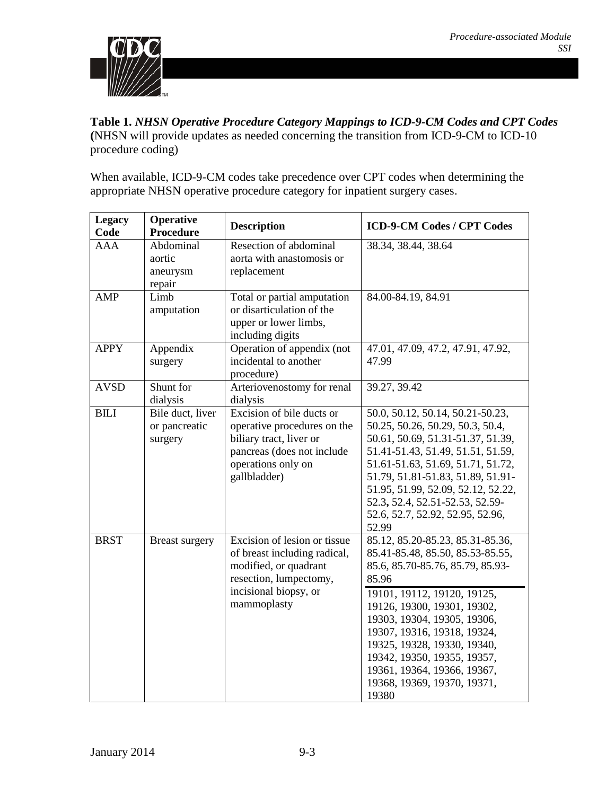

<span id="page-2-0"></span>**Table 1.** *NHSN Operative Procedure Category Mappings to ICD-9-CM Codes and CPT Codes* **(**NHSN will provide updates as needed concerning the transition from ICD-9-CM to ICD-10 procedure coding)

When available, ICD-9-CM codes take precedence over CPT codes when determining the appropriate NHSN operative procedure category for inpatient surgery cases.

| <b>Legacy</b><br>Code | <b>Operative</b><br><b>Procedure</b>         | <b>Description</b>                                                                                                                                      | <b>ICD-9-CM Codes / CPT Codes</b>                                                                                                                                                                                                                                                                                                                                                  |
|-----------------------|----------------------------------------------|---------------------------------------------------------------------------------------------------------------------------------------------------------|------------------------------------------------------------------------------------------------------------------------------------------------------------------------------------------------------------------------------------------------------------------------------------------------------------------------------------------------------------------------------------|
| <b>AAA</b>            | Abdominal<br>aortic<br>aneurysm<br>repair    | Resection of abdominal<br>aorta with anastomosis or<br>replacement                                                                                      | 38.34, 38.44, 38.64                                                                                                                                                                                                                                                                                                                                                                |
| <b>AMP</b>            | Limb<br>amputation                           | Total or partial amputation<br>or disarticulation of the<br>upper or lower limbs,<br>including digits                                                   | 84.00-84.19, 84.91                                                                                                                                                                                                                                                                                                                                                                 |
| <b>APPY</b>           | Appendix<br>surgery                          | Operation of appendix (not<br>incidental to another<br>procedure)                                                                                       | 47.01, 47.09, 47.2, 47.91, 47.92,<br>47.99                                                                                                                                                                                                                                                                                                                                         |
| <b>AVSD</b>           | Shunt for<br>dialysis                        | Arteriovenostomy for renal<br>dialysis                                                                                                                  | 39.27, 39.42                                                                                                                                                                                                                                                                                                                                                                       |
| <b>BILI</b>           | Bile duct, liver<br>or pancreatic<br>surgery | Excision of bile ducts or<br>operative procedures on the<br>biliary tract, liver or<br>pancreas (does not include<br>operations only on<br>gallbladder) | 50.0, 50.12, 50.14, 50.21-50.23,<br>50.25, 50.26, 50.29, 50.3, 50.4,<br>50.61, 50.69, 51.31-51.37, 51.39,<br>51.41-51.43, 51.49, 51.51, 51.59,<br>51.61-51.63, 51.69, 51.71, 51.72,<br>51.79, 51.81-51.83, 51.89, 51.91-<br>51.95, 51.99, 52.09, 52.12, 52.22,<br>52.3, 52.4, 52.51-52.53, 52.59-<br>52.6, 52.7, 52.92, 52.95, 52.96,<br>52.99                                     |
| <b>BRST</b>           | <b>Breast surgery</b>                        | Excision of lesion or tissue<br>of breast including radical,<br>modified, or quadrant<br>resection, lumpectomy,<br>incisional biopsy, or<br>mammoplasty | 85.12, 85.20-85.23, 85.31-85.36,<br>85.41-85.48, 85.50, 85.53-85.55,<br>85.6, 85.70-85.76, 85.79, 85.93-<br>85.96<br>19101, 19112, 19120, 19125,<br>19126, 19300, 19301, 19302,<br>19303, 19304, 19305, 19306,<br>19307, 19316, 19318, 19324,<br>19325, 19328, 19330, 19340,<br>19342, 19350, 19355, 19357,<br>19361, 19364, 19366, 19367,<br>19368, 19369, 19370, 19371,<br>19380 |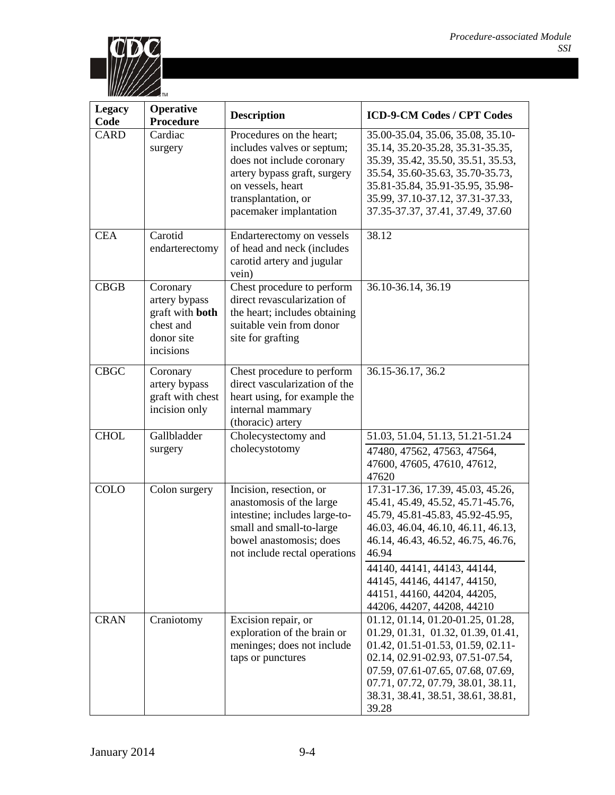

| <b>Legacy</b><br>Code | Operative<br>Procedure                                                               | <b>Description</b>                                                                                                                                                                        | <b>ICD-9-CM Codes / CPT Codes</b>                                                                                                                                                                                                                                                                                          |
|-----------------------|--------------------------------------------------------------------------------------|-------------------------------------------------------------------------------------------------------------------------------------------------------------------------------------------|----------------------------------------------------------------------------------------------------------------------------------------------------------------------------------------------------------------------------------------------------------------------------------------------------------------------------|
| <b>CARD</b>           | Cardiac<br>surgery                                                                   | Procedures on the heart;<br>includes valves or septum;<br>does not include coronary<br>artery bypass graft, surgery<br>on vessels, heart<br>transplantation, or<br>pacemaker implantation | 35.00-35.04, 35.06, 35.08, 35.10-<br>35.14, 35.20-35.28, 35.31-35.35,<br>35.39, 35.42, 35.50, 35.51, 35.53,<br>35.54, 35.60-35.63, 35.70-35.73,<br>35.81-35.84, 35.91-35.95, 35.98-<br>35.99, 37.10-37.12, 37.31-37.33,<br>37.35-37.37, 37.41, 37.49, 37.60                                                                |
| <b>CEA</b>            | Carotid<br>endarterectomy                                                            | Endarterectomy on vessels<br>of head and neck (includes<br>carotid artery and jugular<br>vein)                                                                                            | 38.12                                                                                                                                                                                                                                                                                                                      |
| CBGB                  | Coronary<br>artery bypass<br>graft with both<br>chest and<br>donor site<br>incisions | Chest procedure to perform<br>direct revascularization of<br>the heart; includes obtaining<br>suitable vein from donor<br>site for grafting                                               | 36.10-36.14, 36.19                                                                                                                                                                                                                                                                                                         |
| <b>CBGC</b>           | Coronary<br>artery bypass<br>graft with chest<br>incision only                       | Chest procedure to perform<br>direct vascularization of the<br>heart using, for example the<br>internal mammary<br>(thoracic) artery                                                      | 36.15-36.17, 36.2                                                                                                                                                                                                                                                                                                          |
| <b>CHOL</b>           | Gallbladder<br>surgery                                                               | Cholecystectomy and<br>cholecystotomy                                                                                                                                                     | 51.03, 51.04, 51.13, 51.21-51.24<br>47480, 47562, 47563, 47564,<br>47600, 47605, 47610, 47612,<br>47620                                                                                                                                                                                                                    |
| <b>COLO</b>           | Colon surgery                                                                        | Incision, resection, or<br>anastomosis of the large<br>intestine; includes large-to-<br>small and small-to-large<br>bowel anastomosis; does<br>not include rectal operations              | 17.31-17.36, 17.39, 45.03, 45.26,<br>45.41, 45.49, 45.52, 45.71-45.76,<br>45.79, 45.81-45.83, 45.92-45.95,<br>46.03, 46.04, 46.10, 46.11, 46.13,<br>46.14, 46.43, 46.52, 46.75, 46.76,<br>46.94<br>44140, 44141, 44143, 44144,<br>44145, 44146, 44147, 44150,<br>44151, 44160, 44204, 44205,<br>44206, 44207, 44208, 44210 |
| <b>CRAN</b>           | Craniotomy                                                                           | Excision repair, or<br>exploration of the brain or<br>meninges; does not include<br>taps or punctures                                                                                     | 01.12, 01.14, 01.20-01.25, 01.28,<br>01.29, 01.31, 01.32, 01.39, 01.41,<br>01.42, 01.51-01.53, 01.59, 02.11-<br>02.14, 02.91-02.93, 07.51-07.54,<br>07.59, 07.61-07.65, 07.68, 07.69,<br>07.71, 07.72, 07.79, 38.01, 38.11,<br>38.31, 38.41, 38.51, 38.61, 38.81,<br>39.28                                                 |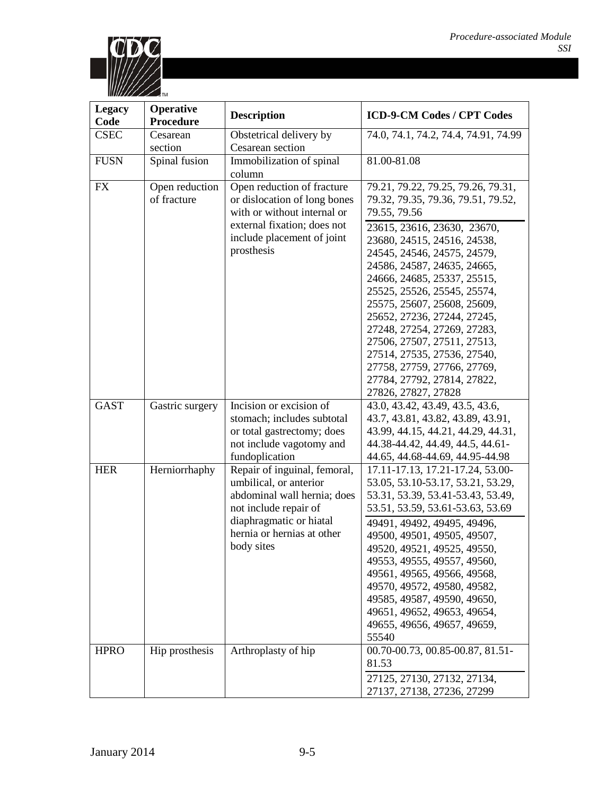

| <b>Legacy</b><br>Code | <b>Operative</b><br><b>Procedure</b> | <b>Description</b>                                                                                                                                                                    | <b>ICD-9-CM Codes / CPT Codes</b>                                                                                                                                                                                                                                                                                                                                                                                                                                                                                                  |
|-----------------------|--------------------------------------|---------------------------------------------------------------------------------------------------------------------------------------------------------------------------------------|------------------------------------------------------------------------------------------------------------------------------------------------------------------------------------------------------------------------------------------------------------------------------------------------------------------------------------------------------------------------------------------------------------------------------------------------------------------------------------------------------------------------------------|
| <b>CSEC</b>           | Cesarean<br>section                  | Obstetrical delivery by<br>Cesarean section                                                                                                                                           | 74.0, 74.1, 74.2, 74.4, 74.91, 74.99                                                                                                                                                                                                                                                                                                                                                                                                                                                                                               |
| <b>FUSN</b>           | Spinal fusion                        | Immobilization of spinal<br>column                                                                                                                                                    | 81.00-81.08                                                                                                                                                                                                                                                                                                                                                                                                                                                                                                                        |
| <b>FX</b>             | Open reduction<br>of fracture        | Open reduction of fracture<br>or dislocation of long bones<br>with or without internal or<br>external fixation; does not<br>include placement of joint<br>prosthesis                  | 79.21, 79.22, 79.25, 79.26, 79.31,<br>79.32, 79.35, 79.36, 79.51, 79.52,<br>79.55, 79.56<br>23615, 23616, 23630, 23670,<br>23680, 24515, 24516, 24538,<br>24545, 24546, 24575, 24579,<br>24586, 24587, 24635, 24665,<br>24666, 24685, 25337, 25515,<br>25525, 25526, 25545, 25574,<br>25575, 25607, 25608, 25609,<br>25652, 27236, 27244, 27245,<br>27248, 27254, 27269, 27283,<br>27506, 27507, 27511, 27513,<br>27514, 27535, 27536, 27540,<br>27758, 27759, 27766, 27769,<br>27784, 27792, 27814, 27822,<br>27826, 27827, 27828 |
| <b>GAST</b>           | Gastric surgery                      | Incision or excision of<br>stomach; includes subtotal<br>or total gastrectomy; does<br>not include vagotomy and<br>fundoplication                                                     | 43.0, 43.42, 43.49, 43.5, 43.6,<br>43.7, 43.81, 43.82, 43.89, 43.91,<br>43.99, 44.15, 44.21, 44.29, 44.31,<br>44.38-44.42, 44.49, 44.5, 44.61-<br>44.65, 44.68-44.69, 44.95-44.98                                                                                                                                                                                                                                                                                                                                                  |
| <b>HER</b>            | Herniorrhaphy                        | Repair of inguinal, femoral,<br>umbilical, or anterior<br>abdominal wall hernia; does<br>not include repair of<br>diaphragmatic or hiatal<br>hernia or hernias at other<br>body sites | 17.11-17.13, 17.21-17.24, 53.00-<br>53.05, 53.10-53.17, 53.21, 53.29,<br>53.31, 53.39, 53.41-53.43, 53.49,<br>53.51, 53.59, 53.61-53.63, 53.69<br>49491, 49492, 49495, 49496,<br>49500, 49501, 49505, 49507,<br>49520, 49521, 49525, 49550,<br>49553, 49555, 49557, 49560,<br>49561, 49565, 49566, 49568,<br>49570, 49572, 49580, 49582,<br>49585, 49587, 49590, 49650,<br>49651, 49652, 49653, 49654,<br>49655, 49656, 49657, 49659,<br>55540                                                                                     |
| <b>HPRO</b>           | Hip prosthesis                       | Arthroplasty of hip                                                                                                                                                                   | 00.70-00.73, 00.85-00.87, 81.51-<br>81.53<br>27125, 27130, 27132, 27134,<br>27137, 27138, 27236, 27299                                                                                                                                                                                                                                                                                                                                                                                                                             |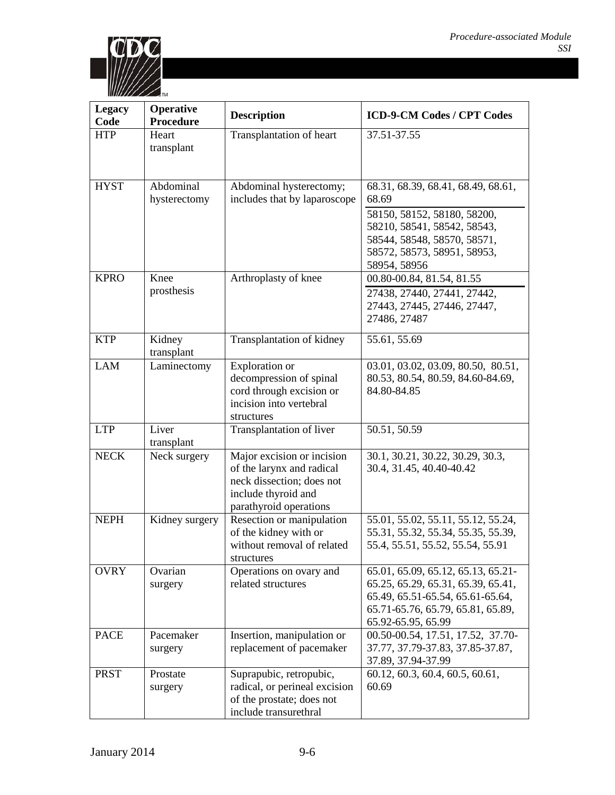

| <b>Legacy</b><br>Code | <b>Operative</b><br>Procedure | <b>Description</b>                                                                                                                    | <b>ICD-9-CM Codes / CPT Codes</b>                                                                                                                                                       |
|-----------------------|-------------------------------|---------------------------------------------------------------------------------------------------------------------------------------|-----------------------------------------------------------------------------------------------------------------------------------------------------------------------------------------|
| <b>HTP</b>            | Heart<br>transplant           | Transplantation of heart                                                                                                              | 37.51-37.55                                                                                                                                                                             |
| <b>HYST</b>           | Abdominal<br>hysterectomy     | Abdominal hysterectomy;<br>includes that by laparoscope                                                                               | 68.31, 68.39, 68.41, 68.49, 68.61,<br>68.69<br>58150, 58152, 58180, 58200,<br>58210, 58541, 58542, 58543,<br>58544, 58548, 58570, 58571,<br>58572, 58573, 58951, 58953,<br>58954, 58956 |
| <b>KPRO</b>           | Knee<br>prosthesis            | Arthroplasty of knee                                                                                                                  | 00.80-00.84, 81.54, 81.55<br>27438, 27440, 27441, 27442,<br>27443, 27445, 27446, 27447,<br>27486, 27487                                                                                 |
| <b>KTP</b>            | Kidney<br>transplant          | Transplantation of kidney                                                                                                             | 55.61, 55.69                                                                                                                                                                            |
| <b>LAM</b>            | Laminectomy                   | Exploration or<br>decompression of spinal<br>cord through excision or<br>incision into vertebral<br>structures                        | 03.01, 03.02, 03.09, 80.50, 80.51,<br>80.53, 80.54, 80.59, 84.60-84.69,<br>84.80-84.85                                                                                                  |
| <b>LTP</b>            | Liver<br>transplant           | Transplantation of liver                                                                                                              | 50.51, 50.59                                                                                                                                                                            |
| <b>NECK</b>           | Neck surgery                  | Major excision or incision<br>of the larynx and radical<br>neck dissection; does not<br>include thyroid and<br>parathyroid operations | 30.1, 30.21, 30.22, 30.29, 30.3,<br>30.4, 31.45, 40.40-40.42                                                                                                                            |
| <b>NEPH</b>           | Kidney surgery                | Resection or manipulation<br>of the kidney with or<br>without removal of related<br>structures                                        | 55.01, 55.02, 55.11, 55.12, 55.24,<br>55.31, 55.32, 55.34, 55.35, 55.39,<br>55.4, 55.51, 55.52, 55.54, 55.91                                                                            |
| <b>OVRY</b>           | Ovarian<br>surgery            | Operations on ovary and<br>related structures                                                                                         | 65.01, 65.09, 65.12, 65.13, 65.21-<br>65.25, 65.29, 65.31, 65.39, 65.41,<br>65.49, 65.51-65.54, 65.61-65.64,<br>65.71-65.76, 65.79, 65.81, 65.89,<br>65.92-65.95, 65.99                 |
| <b>PACE</b>           | Pacemaker<br>surgery          | Insertion, manipulation or<br>replacement of pacemaker                                                                                | 00.50-00.54, 17.51, 17.52, 37.70-<br>37.77, 37.79-37.83, 37.85-37.87,<br>37.89, 37.94-37.99                                                                                             |
| <b>PRST</b>           | Prostate<br>surgery           | Suprapubic, retropubic,<br>radical, or perineal excision<br>of the prostate; does not<br>include transurethral                        | 60.12, 60.3, 60.4, 60.5, 60.61,<br>60.69                                                                                                                                                |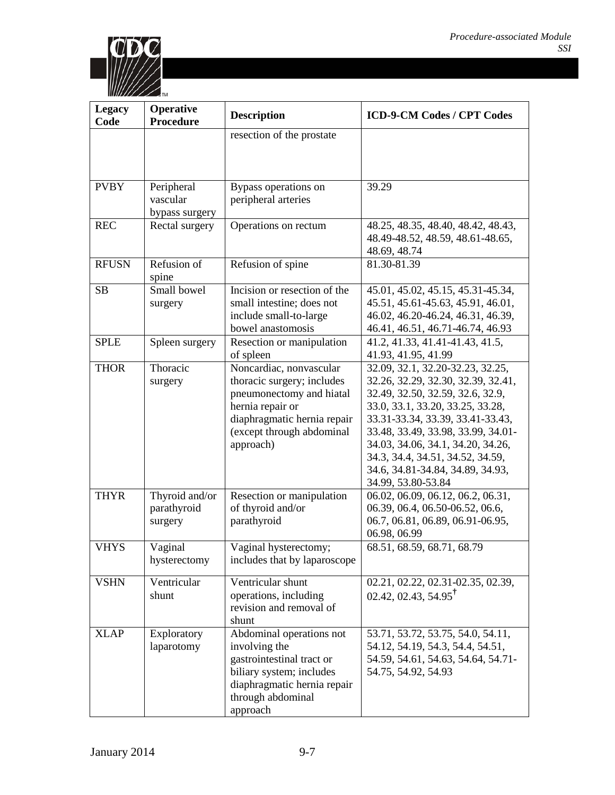

| <b>Legacy</b><br>Code | <b>Operative</b><br><b>Procedure</b> | <b>Description</b>                                    | <b>ICD-9-CM Codes / CPT Codes</b>                                     |
|-----------------------|--------------------------------------|-------------------------------------------------------|-----------------------------------------------------------------------|
|                       |                                      | resection of the prostate                             |                                                                       |
|                       |                                      |                                                       |                                                                       |
|                       |                                      |                                                       |                                                                       |
| <b>PVBY</b>           | Peripheral                           | Bypass operations on                                  | 39.29                                                                 |
|                       | vascular                             | peripheral arteries                                   |                                                                       |
|                       | bypass surgery                       |                                                       |                                                                       |
| <b>REC</b>            | Rectal surgery                       | Operations on rectum                                  | 48.25, 48.35, 48.40, 48.42, 48.43,                                    |
|                       |                                      |                                                       | 48.49-48.52, 48.59, 48.61-48.65,                                      |
| <b>RFUSN</b>          | Refusion of                          |                                                       | 48.69, 48.74                                                          |
|                       | spine                                | Refusion of spine                                     | 81.30-81.39                                                           |
| <b>SB</b>             | Small bowel                          | Incision or resection of the                          | 45.01, 45.02, 45.15, 45.31-45.34,                                     |
|                       | surgery                              | small intestine; does not                             | 45.51, 45.61-45.63, 45.91, 46.01,                                     |
|                       |                                      | include small-to-large<br>bowel anastomosis           | 46.02, 46.20-46.24, 46.31, 46.39,<br>46.41, 46.51, 46.71-46.74, 46.93 |
| <b>SPLE</b>           |                                      |                                                       | 41.2, 41.33, 41.41-41.43, 41.5,                                       |
|                       | Spleen surgery                       | Resection or manipulation<br>of spleen                | 41.93, 41.95, 41.99                                                   |
| <b>THOR</b>           | Thoracic                             | Noncardiac, nonvascular                               | 32.09, 32.1, 32.20-32.23, 32.25,                                      |
|                       | surgery                              | thoracic surgery; includes                            | 32.26, 32.29, 32.30, 32.39, 32.41,                                    |
|                       |                                      | pneumonectomy and hiatal                              | 32.49, 32.50, 32.59, 32.6, 32.9,                                      |
|                       |                                      | hernia repair or                                      | 33.0, 33.1, 33.20, 33.25, 33.28,                                      |
|                       |                                      | diaphragmatic hernia repair                           | 33.31-33.34, 33.39, 33.41-33.43,                                      |
|                       |                                      | (except through abdominal                             | 33.48, 33.49, 33.98, 33.99, 34.01-                                    |
|                       |                                      | approach)                                             | 34.03, 34.06, 34.1, 34.20, 34.26,                                     |
|                       |                                      |                                                       | 34.3, 34.4, 34.51, 34.52, 34.59,                                      |
|                       |                                      |                                                       | 34.6, 34.81-34.84, 34.89, 34.93,                                      |
| <b>THYR</b>           | Thyroid and/or                       | Resection or manipulation                             | 34.99, 53.80-53.84<br>06.02, 06.09, 06.12, 06.2, 06.31,               |
|                       | parathyroid                          | of thyroid and/or                                     | 06.39, 06.4, 06.50-06.52, 06.6,                                       |
|                       | surgery                              | parathyroid                                           | 06.7, 06.81, 06.89, 06.91-06.95,                                      |
|                       |                                      |                                                       | 06.98, 06.99                                                          |
| <b>VHYS</b>           | Vaginal                              | Vaginal hysterectomy;                                 | 68.51, 68.59, 68.71, 68.79                                            |
|                       | hysterectomy                         | includes that by laparoscope                          |                                                                       |
| <b>VSHN</b>           | Ventricular                          | Ventricular shunt                                     | 02.21, 02.22, 02.31-02.35, 02.39,                                     |
|                       | shunt                                | operations, including                                 | $02.42, 02.43, 54.95^{\dagger}$                                       |
|                       |                                      | revision and removal of                               |                                                                       |
|                       |                                      | shunt                                                 |                                                                       |
| <b>XLAP</b>           | Exploratory                          | Abdominal operations not                              | 53.71, 53.72, 53.75, 54.0, 54.11,                                     |
|                       | laparotomy                           | involving the                                         | 54.12, 54.19, 54.3, 54.4, 54.51,                                      |
|                       |                                      | gastrointestinal tract or<br>biliary system; includes | 54.59, 54.61, 54.63, 54.64, 54.71-<br>54.75, 54.92, 54.93             |
|                       |                                      | diaphragmatic hernia repair                           |                                                                       |
|                       |                                      | through abdominal                                     |                                                                       |
|                       |                                      | approach                                              |                                                                       |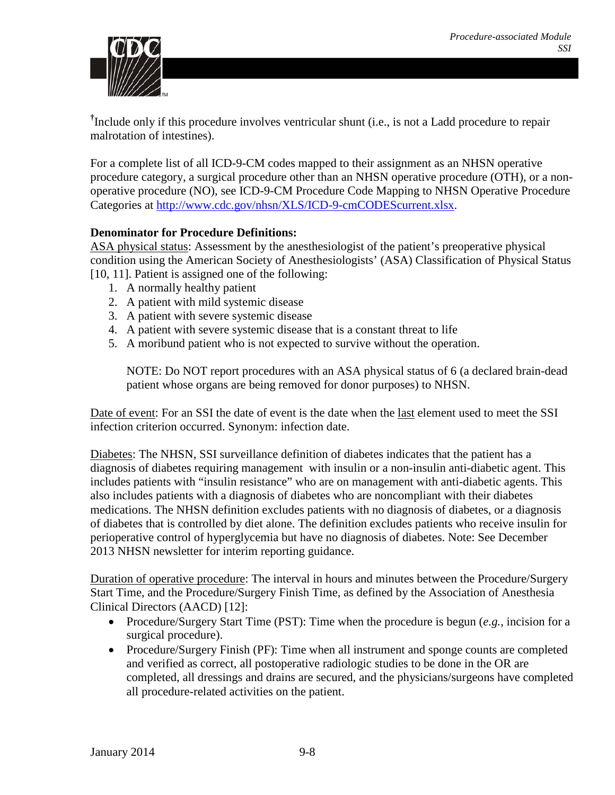

<sup>†</sup>Include only if this procedure involves ventricular shunt (i.e., is not a Ladd procedure to repair malrotation of intestines).

For a complete list of all ICD-9-CM codes mapped to their assignment as an NHSN operative procedure category, a surgical procedure other than an NHSN operative procedure (OTH), or a nonoperative procedure (NO), see ICD-9-CM Procedure Code Mapping to NHSN Operative Procedure Categories at [http://www.cdc.gov/nhsn/XLS/ICD-9-cmCODEScurrent.xlsx.](http://www.cdc.gov/nhsn/XLS/ICD-9-cmCODEScurrent.xlsx)

### **Denominator for Procedure Definitions:**

ASA physical status: Assessment by the anesthesiologist of the patient's preoperative physical condition using the American Society of Anesthesiologists' (ASA) Classification of Physical Status [\[10,](#page-22-1) [11\]](#page-22-2). Patient is assigned one of the following:

- 1. A normally healthy patient
- 2. A patient with mild systemic disease
- 3. A patient with severe systemic disease
- 4. A patient with severe systemic disease that is a constant threat to life
- 5. A moribund patient who is not expected to survive without the operation.

NOTE: Do NOT report procedures with an ASA physical status of 6 (a declared brain-dead patient whose organs are being removed for donor purposes) to NHSN.

Date of event: For an SSI the date of event is the date when the last element used to meet the SSI infection criterion occurred. Synonym: infection date.

Diabetes: The NHSN, SSI surveillance definition of diabetes indicates that the patient has a diagnosis of diabetes requiring management with insulin or a non-insulin anti-diabetic agent. This includes patients with "insulin resistance" who are on management with anti-diabetic agents. This also includes patients with a diagnosis of diabetes who are noncompliant with their diabetes medications. The NHSN definition excludes patients with no diagnosis of diabetes, or a diagnosis of diabetes that is controlled by diet alone. The definition excludes patients who receive insulin for perioperative control of hyperglycemia but have no diagnosis of diabetes. Note: See December 2013 NHSN newsletter for interim reporting guidance.

Duration of operative procedure: The interval in hours and minutes between the Procedure/Surgery Start Time, and the Procedure/Surgery Finish Time, as defined by the Association of Anesthesia Clinical Directors (AACD) [\[12\]](#page-22-3):

- Procedure/Surgery Start Time (PST): Time when the procedure is begun (*e.g.*, incision for a surgical procedure).
- Procedure/Surgery Finish (PF): Time when all instrument and sponge counts are completed and verified as correct, all postoperative radiologic studies to be done in the OR are completed, all dressings and drains are secured, and the physicians/surgeons have completed all procedure-related activities on the patient.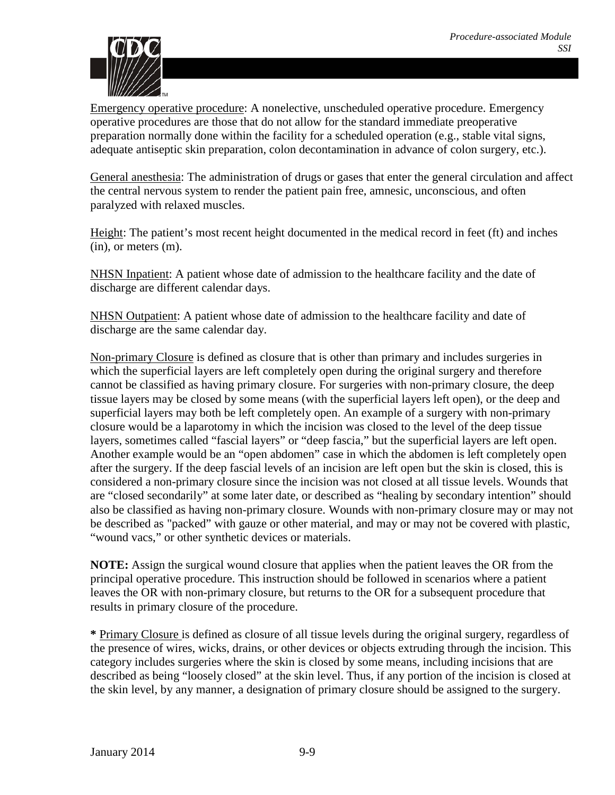

Emergency operative procedure: A nonelective, unscheduled operative procedure. Emergency operative procedures are those that do not allow for the standard immediate preoperative preparation normally done within the facility for a scheduled operation (e.g., stable vital signs, adequate antiseptic skin preparation, colon decontamination in advance of colon surgery, etc.).

General anesthesia: The administration of drugs or gases that enter the general circulation and affect the central nervous system to render the patient pain free, amnesic, unconscious, and often paralyzed with relaxed muscles.

Height: The patient's most recent height documented in the medical record in feet (ft) and inches (in), or meters (m).

NHSN Inpatient: A patient whose date of admission to the healthcare facility and the date of discharge are different calendar days.

NHSN Outpatient: A patient whose date of admission to the healthcare facility and date of discharge are the same calendar day.

Non-primary Closure is defined as closure that is other than primary and includes surgeries in which the superficial layers are left completely open during the original surgery and therefore cannot be classified as having primary closure. For surgeries with non-primary closure, the deep tissue layers may be closed by some means (with the superficial layers left open), or the deep and superficial layers may both be left completely open. An example of a surgery with non-primary closure would be a laparotomy in which the incision was closed to the level of the deep tissue layers, sometimes called "fascial layers" or "deep fascia," but the superficial layers are left open. Another example would be an "open abdomen" case in which the abdomen is left completely open after the surgery. If the deep fascial levels of an incision are left open but the skin is closed, this is considered a non-primary closure since the incision was not closed at all tissue levels. Wounds that are "closed secondarily" at some later date, or described as "healing by secondary intention" should also be classified as having non-primary closure. Wounds with non-primary closure may or may not be described as "packed" with gauze or other material, and may or may not be covered with plastic, "wound vacs," or other synthetic devices or materials.

**NOTE:** Assign the surgical wound closure that applies when the patient leaves the OR from the principal operative procedure. This instruction should be followed in scenarios where a patient leaves the OR with non-primary closure, but returns to the OR for a subsequent procedure that results in primary closure of the procedure.

**\*** Primary Closure is defined as closure of all tissue levels during the original surgery, regardless of the presence of wires, wicks, drains, or other devices or objects extruding through the incision. This category includes surgeries where the skin is closed by some means, including incisions that are described as being "loosely closed" at the skin level. Thus, if any portion of the incision is closed at the skin level, by any manner, a designation of primary closure should be assigned to the surgery.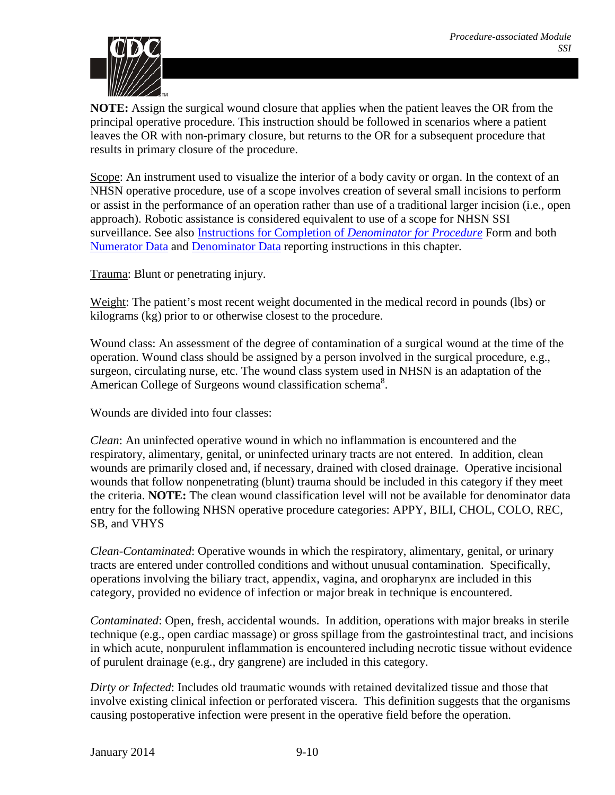

**NOTE:** Assign the surgical wound closure that applies when the patient leaves the OR from the principal operative procedure. This instruction should be followed in scenarios where a patient leaves the OR with non-primary closure, but returns to the OR for a subsequent procedure that results in primary closure of the procedure.

Scope: An instrument used to visualize the interior of a body cavity or organ. In the context of an NHSN operative procedure, use of a scope involves creation of several small incisions to perform or assist in the performance of an operation rather than use of a traditional larger incision (i.e., open approach). Robotic assistance is considered equivalent to use of a scope for NHSN SSI surveillance. See also [Instructions for Completion of](http://www.cdc.gov/nhsn/forms/instr/57_121.pdf) *Denominator for Procedure* Form and both [Numerator Data](#page-14-0) and [Denominator Data](#page-18-0) reporting instructions in this chapter.

Trauma: Blunt or penetrating injury.

Weight: The patient's most recent weight documented in the medical record in pounds (lbs) or kilograms (kg) prior to or otherwise closest to the procedure.

Wound class: An assessment of the degree of contamination of a surgical wound at the time of the operation. Wound class should be assigned by a person involved in the surgical procedure, e.g., surgeon, circulating nurse, etc. The wound class system used in NHSN is an adaptation of the American College of Surgeons wound classification schema<sup>8</sup>.

Wounds are divided into four classes:

*Clean*: An uninfected operative wound in which no inflammation is encountered and the respiratory, alimentary, genital, or uninfected urinary tracts are not entered. In addition, clean wounds are primarily closed and, if necessary, drained with closed drainage. Operative incisional wounds that follow nonpenetrating (blunt) trauma should be included in this category if they meet the criteria. **NOTE:** The clean wound classification level will not be available for denominator data entry for the following NHSN operative procedure categories: APPY, BILI, CHOL, COLO, REC, SB, and VHYS

*Clean-Contaminated*: Operative wounds in which the respiratory, alimentary, genital, or urinary tracts are entered under controlled conditions and without unusual contamination. Specifically, operations involving the biliary tract, appendix, vagina, and oropharynx are included in this category, provided no evidence of infection or major break in technique is encountered.

*Contaminated*: Open, fresh, accidental wounds. In addition, operations with major breaks in sterile technique (e.g., open cardiac massage) or gross spillage from the gastrointestinal tract, and incisions in which acute, nonpurulent inflammation is encountered including necrotic tissue without evidence of purulent drainage (e.g., dry gangrene) are included in this category.

*Dirty or Infected*: Includes old traumatic wounds with retained devitalized tissue and those that involve existing clinical infection or perforated viscera. This definition suggests that the organisms causing postoperative infection were present in the operative field before the operation.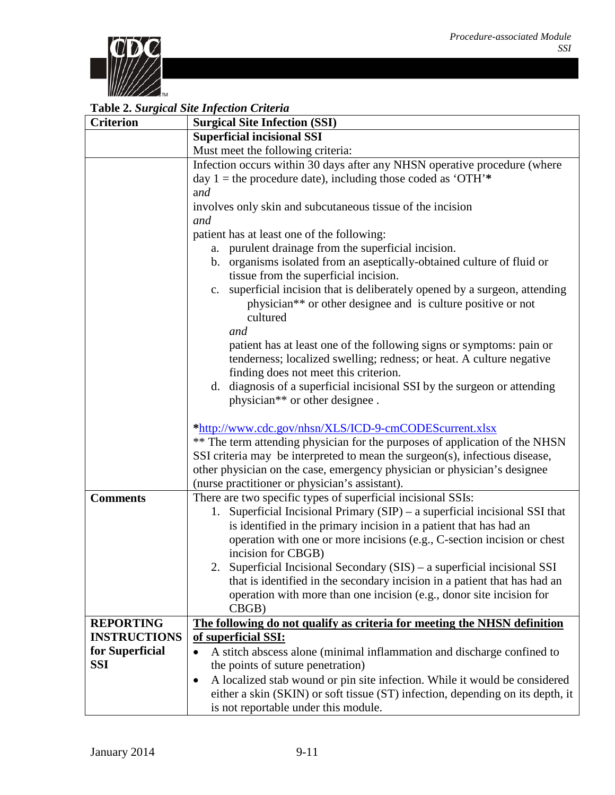

## **Table 2.** *Surgical Site Infection Criteria*

| <b>Criterion</b>    | Lavic 2. Surgical Sue Infection Crueria<br><b>Surgical Site Infection (SSI)</b>                                                                                     |  |  |
|---------------------|---------------------------------------------------------------------------------------------------------------------------------------------------------------------|--|--|
|                     | <b>Superficial incisional SSI</b>                                                                                                                                   |  |  |
|                     | Must meet the following criteria:                                                                                                                                   |  |  |
|                     | Infection occurs within 30 days after any NHSN operative procedure (where<br>day 1 = the procedure date), including those coded as 'OTH'*                           |  |  |
|                     | and                                                                                                                                                                 |  |  |
|                     | involves only skin and subcutaneous tissue of the incision                                                                                                          |  |  |
|                     | and                                                                                                                                                                 |  |  |
|                     | patient has at least one of the following:                                                                                                                          |  |  |
|                     | a. purulent drainage from the superficial incision.                                                                                                                 |  |  |
|                     | b. organisms isolated from an aseptically-obtained culture of fluid or<br>tissue from the superficial incision.                                                     |  |  |
|                     | c. superficial incision that is deliberately opened by a surgeon, attending<br>physician <sup>**</sup> or other designee and is culture positive or not<br>cultured |  |  |
|                     | and                                                                                                                                                                 |  |  |
|                     | patient has at least one of the following signs or symptoms: pain or<br>tenderness; localized swelling; redness; or heat. A culture negative                        |  |  |
|                     | finding does not meet this criterion.                                                                                                                               |  |  |
|                     | d. diagnosis of a superficial incisional SSI by the surgeon or attending<br>physician** or other designee.                                                          |  |  |
|                     |                                                                                                                                                                     |  |  |
|                     | *http://www.cdc.gov/nhsn/XLS/ICD-9-cmCODEScurrent.xlsx                                                                                                              |  |  |
|                     | ** The term attending physician for the purposes of application of the NHSN<br>SSI criteria may be interpreted to mean the surgeon(s), infectious disease,          |  |  |
|                     | other physician on the case, emergency physician or physician's designee                                                                                            |  |  |
|                     | (nurse practitioner or physician's assistant).                                                                                                                      |  |  |
| <b>Comments</b>     | There are two specific types of superficial incisional SSIs:                                                                                                        |  |  |
|                     | 1. Superficial Incisional Primary (SIP) – a superficial incisional SSI that                                                                                         |  |  |
|                     | is identified in the primary incision in a patient that has had an                                                                                                  |  |  |
|                     | operation with one or more incisions (e.g., C-section incision or chest                                                                                             |  |  |
|                     | incision for CBGB)                                                                                                                                                  |  |  |
|                     | 2. Superficial Incisional Secondary (SIS) – a superficial incisional SSI                                                                                            |  |  |
|                     | that is identified in the secondary incision in a patient that has had an                                                                                           |  |  |
|                     | operation with more than one incision (e.g., donor site incision for                                                                                                |  |  |
|                     | CBGB)                                                                                                                                                               |  |  |
| <b>REPORTING</b>    | The following do not qualify as criteria for meeting the NHSN definition                                                                                            |  |  |
| <b>INSTRUCTIONS</b> | of superficial SSI:                                                                                                                                                 |  |  |
| for Superficial     | A stitch abscess alone (minimal inflammation and discharge confined to                                                                                              |  |  |
| <b>SSI</b>          | the points of suture penetration)                                                                                                                                   |  |  |
|                     | A localized stab wound or pin site infection. While it would be considered<br>٠                                                                                     |  |  |
|                     | either a skin (SKIN) or soft tissue (ST) infection, depending on its depth, it                                                                                      |  |  |
|                     | is not reportable under this module.                                                                                                                                |  |  |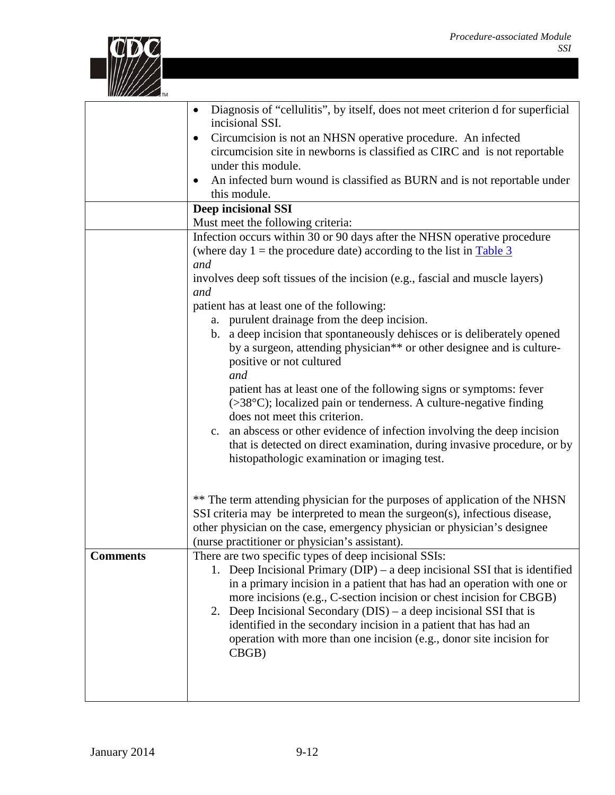

|                 | Diagnosis of "cellulitis", by itself, does not meet criterion d for superficial<br>incisional SSI.<br>Circumcision is not an NHSN operative procedure. An infected<br>$\bullet$<br>circumcision site in newborns is classified as CIRC and is not reportable<br>under this module.<br>An infected burn wound is classified as BURN and is not reportable under<br>this module.                                                                                                                                                                                                                                                                                                                                                                                                                                                                                                                                                             |
|-----------------|--------------------------------------------------------------------------------------------------------------------------------------------------------------------------------------------------------------------------------------------------------------------------------------------------------------------------------------------------------------------------------------------------------------------------------------------------------------------------------------------------------------------------------------------------------------------------------------------------------------------------------------------------------------------------------------------------------------------------------------------------------------------------------------------------------------------------------------------------------------------------------------------------------------------------------------------|
|                 | <b>Deep incisional SSI</b><br>Must meet the following criteria:                                                                                                                                                                                                                                                                                                                                                                                                                                                                                                                                                                                                                                                                                                                                                                                                                                                                            |
|                 | Infection occurs within 30 or 90 days after the NHSN operative procedure<br>(where day $1$ = the procedure date) according to the list in Table 3<br>and<br>involves deep soft tissues of the incision (e.g., fascial and muscle layers)<br>and<br>patient has at least one of the following:<br>a. purulent drainage from the deep incision.<br>b. a deep incision that spontaneously dehisces or is deliberately opened<br>by a surgeon, attending physician** or other designee and is culture-<br>positive or not cultured<br>and<br>patient has at least one of the following signs or symptoms: fever<br>$($ >38 $\degree$ C $)$ ; localized pain or tenderness. A culture-negative finding<br>does not meet this criterion.<br>c. an abscess or other evidence of infection involving the deep incision<br>that is detected on direct examination, during invasive procedure, or by<br>histopathologic examination or imaging test. |
|                 | ** The term attending physician for the purposes of application of the NHSN<br>SSI criteria may be interpreted to mean the surgeon(s), infectious disease,<br>other physician on the case, emergency physician or physician's designee<br>(nurse practitioner or physician's assistant).                                                                                                                                                                                                                                                                                                                                                                                                                                                                                                                                                                                                                                                   |
| <b>Comments</b> | There are two specific types of deep incisional SSIs:<br>1. Deep Incisional Primary ( $DIP$ ) – a deep incisional SSI that is identified<br>in a primary incision in a patient that has had an operation with one or<br>more incisions (e.g., C-section incision or chest incision for CBGB)<br>2. Deep Incisional Secondary (DIS) – a deep incisional SSI that is<br>identified in the secondary incision in a patient that has had an<br>operation with more than one incision (e.g., donor site incision for<br>CBGB)                                                                                                                                                                                                                                                                                                                                                                                                                   |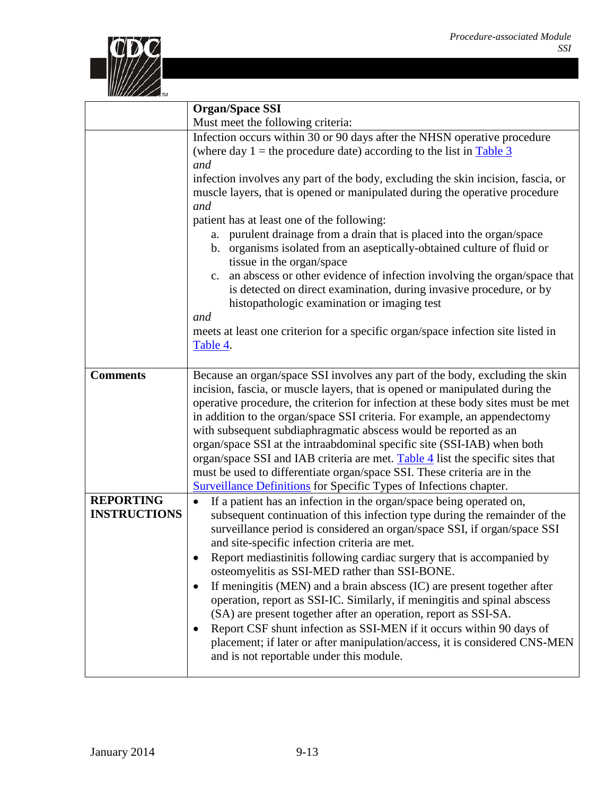

|                     | <b>Organ/Space SSI</b>                                                                                                                                          |  |  |
|---------------------|-----------------------------------------------------------------------------------------------------------------------------------------------------------------|--|--|
|                     | Must meet the following criteria:                                                                                                                               |  |  |
|                     | Infection occurs within 30 or 90 days after the NHSN operative procedure<br>(where day $1$ = the procedure date) according to the list in Table 3               |  |  |
|                     | and                                                                                                                                                             |  |  |
|                     | infection involves any part of the body, excluding the skin incision, fascia, or<br>muscle layers, that is opened or manipulated during the operative procedure |  |  |
|                     | and                                                                                                                                                             |  |  |
|                     | patient has at least one of the following:                                                                                                                      |  |  |
|                     | purulent drainage from a drain that is placed into the organ/space<br>a.                                                                                        |  |  |
|                     | b. organisms isolated from an aseptically-obtained culture of fluid or<br>tissue in the organ/space                                                             |  |  |
|                     | an abscess or other evidence of infection involving the organ/space that<br>c.                                                                                  |  |  |
|                     | is detected on direct examination, during invasive procedure, or by<br>histopathologic examination or imaging test                                              |  |  |
|                     | and                                                                                                                                                             |  |  |
|                     | meets at least one criterion for a specific organ/space infection site listed in                                                                                |  |  |
|                     | Table 4.                                                                                                                                                        |  |  |
|                     |                                                                                                                                                                 |  |  |
| <b>Comments</b>     | Because an organ/space SSI involves any part of the body, excluding the skin                                                                                    |  |  |
|                     | incision, fascia, or muscle layers, that is opened or manipulated during the                                                                                    |  |  |
|                     | operative procedure, the criterion for infection at these body sites must be met                                                                                |  |  |
|                     | in addition to the organ/space SSI criteria. For example, an appendectomy                                                                                       |  |  |
|                     | with subsequent subdiaphragmatic abscess would be reported as an                                                                                                |  |  |
|                     | organ/space SSI at the intraabdominal specific site (SSI-IAB) when both                                                                                         |  |  |
|                     | organ/space SSI and IAB criteria are met. Table 4 list the specific sites that<br>must be used to differentiate organ/space SSI. These criteria are in the      |  |  |
|                     | <b>Surveillance Definitions</b> for Specific Types of Infections chapter.                                                                                       |  |  |
| <b>REPORTING</b>    | If a patient has an infection in the organ/space being operated on,<br>$\bullet$                                                                                |  |  |
| <b>INSTRUCTIONS</b> | subsequent continuation of this infection type during the remainder of the                                                                                      |  |  |
|                     | surveillance period is considered an organ/space SSI, if organ/space SSI                                                                                        |  |  |
|                     | and site-specific infection criteria are met.                                                                                                                   |  |  |
|                     | Report mediastinitis following cardiac surgery that is accompanied by                                                                                           |  |  |
|                     | osteomyelitis as SSI-MED rather than SSI-BONE.                                                                                                                  |  |  |
|                     | If meningitis (MEN) and a brain abscess (IC) are present together after                                                                                         |  |  |
|                     | operation, report as SSI-IC. Similarly, if meningitis and spinal abscess                                                                                        |  |  |
|                     | (SA) are present together after an operation, report as SSI-SA.                                                                                                 |  |  |
|                     | Report CSF shunt infection as SSI-MEN if it occurs within 90 days of                                                                                            |  |  |
|                     | placement; if later or after manipulation/access, it is considered CNS-MEN<br>and is not reportable under this module.                                          |  |  |
|                     |                                                                                                                                                                 |  |  |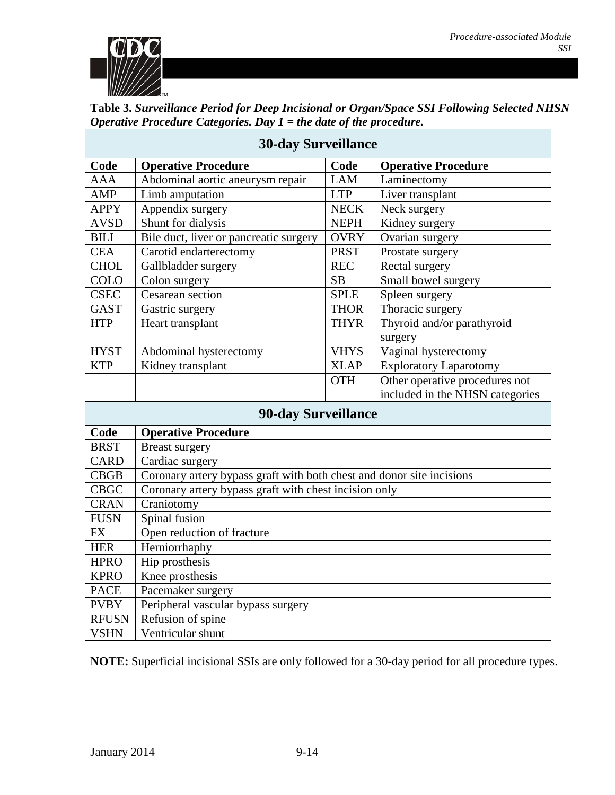

<span id="page-13-0"></span>

| Table 3. Surveillance Period for Deep Incisional or Organ/Space SSI Following Selected NHSN |
|---------------------------------------------------------------------------------------------|
| <i>Operative Procedure Categories. Day <math>1 =</math> the date of the procedure.</i>      |

| <b>30-day Surveillance</b> |                                                                       |             |                                 |  |
|----------------------------|-----------------------------------------------------------------------|-------------|---------------------------------|--|
| Code                       | <b>Operative Procedure</b>                                            | Code        | <b>Operative Procedure</b>      |  |
| <b>AAA</b>                 | Abdominal aortic aneurysm repair                                      | <b>LAM</b>  | Laminectomy                     |  |
| <b>AMP</b>                 | Limb amputation                                                       | <b>LTP</b>  | Liver transplant                |  |
| <b>APPY</b>                | Appendix surgery                                                      | <b>NECK</b> | Neck surgery                    |  |
| <b>AVSD</b>                | Shunt for dialysis                                                    | <b>NEPH</b> | Kidney surgery                  |  |
| <b>BILI</b>                | Bile duct, liver or pancreatic surgery                                | <b>OVRY</b> | Ovarian surgery                 |  |
| <b>CEA</b>                 | Carotid endarterectomy                                                | <b>PRST</b> | Prostate surgery                |  |
| <b>CHOL</b>                | Gallbladder surgery                                                   | <b>REC</b>  | Rectal surgery                  |  |
| COLO                       | Colon surgery                                                         | SB          | Small bowel surgery             |  |
| <b>CSEC</b>                | Cesarean section                                                      | <b>SPLE</b> | Spleen surgery                  |  |
| <b>GAST</b>                | Gastric surgery                                                       | <b>THOR</b> | Thoracic surgery                |  |
| <b>HTP</b>                 | Heart transplant                                                      | <b>THYR</b> | Thyroid and/or parathyroid      |  |
|                            |                                                                       |             | surgery                         |  |
| <b>HYST</b>                | Abdominal hysterectomy                                                | <b>VHYS</b> | Vaginal hysterectomy            |  |
| <b>KTP</b>                 | Kidney transplant                                                     | <b>XLAP</b> | <b>Exploratory Laparotomy</b>   |  |
|                            |                                                                       | <b>OTH</b>  | Other operative procedures not  |  |
|                            |                                                                       |             | included in the NHSN categories |  |
| <b>90-day Surveillance</b> |                                                                       |             |                                 |  |
| Code                       | <b>Operative Procedure</b>                                            |             |                                 |  |
| <b>BRST</b>                | <b>Breast surgery</b>                                                 |             |                                 |  |
| <b>CARD</b>                | Cardiac surgery                                                       |             |                                 |  |
| <b>CBGB</b>                | Coronary artery bypass graft with both chest and donor site incisions |             |                                 |  |
| <b>CBGC</b>                | Coronary artery bypass graft with chest incision only                 |             |                                 |  |
| <b>CRAN</b>                | Craniotomy                                                            |             |                                 |  |
| <b>FUSN</b>                | Spinal fusion                                                         |             |                                 |  |
| <b>FX</b>                  | Open reduction of fracture                                            |             |                                 |  |
| <b>HER</b>                 | Herniorrhaphy                                                         |             |                                 |  |
| <b>HPRO</b>                | Hip prosthesis                                                        |             |                                 |  |
| <b>KPRO</b>                | Knee prosthesis                                                       |             |                                 |  |
| <b>PACE</b>                | Pacemaker surgery                                                     |             |                                 |  |
| <b>PVBY</b>                | Peripheral vascular bypass surgery                                    |             |                                 |  |
| <b>RFUSN</b>               | Refusion of spine                                                     |             |                                 |  |
| <b>VSHN</b>                | Ventricular shunt                                                     |             |                                 |  |

**NOTE:** Superficial incisional SSIs are only followed for a 30-day period for all procedure types.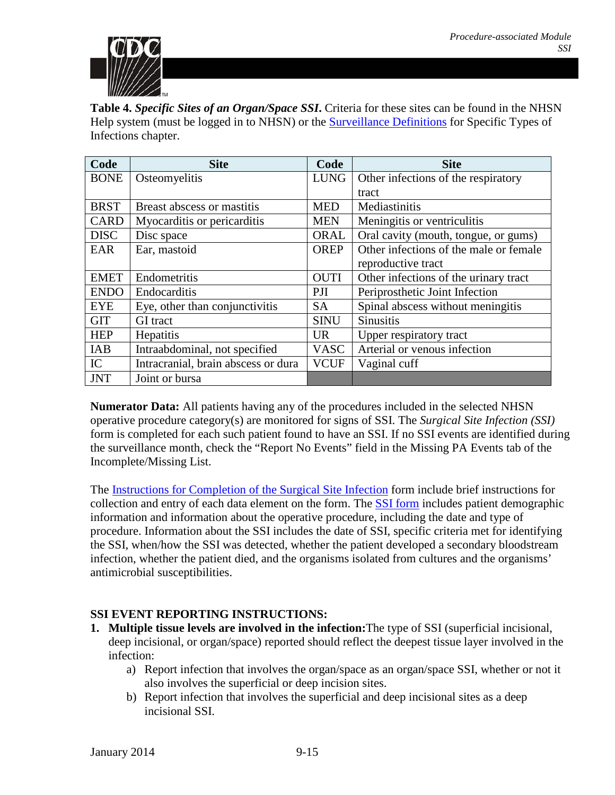

<span id="page-14-1"></span>**Table 4.** *Specific Sites of an Organ/Space SSI***.** Criteria for these sites can be found in the NHSN Help system (must be logged in to NHSN) or the [Surveillance](http://www.cdc.gov/nhsn/PDFs/pscManual/17pscNosInfDef_current.pdf) Definitions for Specific Types of Infections chapter.

| Code        | <b>Site</b>                         | Code        | <b>Site</b>                            |
|-------------|-------------------------------------|-------------|----------------------------------------|
| <b>BONE</b> | Osteomyelitis                       | <b>LUNG</b> | Other infections of the respiratory    |
|             |                                     |             | tract                                  |
| <b>BRST</b> | Breast abscess or mastitis          | <b>MED</b>  | Mediastinitis                          |
| <b>CARD</b> | Myocarditis or pericarditis         | <b>MEN</b>  | Meningitis or ventriculitis            |
| <b>DISC</b> | Disc space                          | ORAL        | Oral cavity (mouth, tongue, or gums)   |
| EAR         | Ear, mastoid                        | <b>OREP</b> | Other infections of the male or female |
|             |                                     |             | reproductive tract                     |
| <b>EMET</b> | Endometritis                        | <b>OUTI</b> | Other infections of the urinary tract  |
| <b>ENDO</b> | Endocarditis                        | PJI         | Periprosthetic Joint Infection         |
| <b>EYE</b>  | Eye, other than conjunctivitis      | <b>SA</b>   | Spinal abscess without meningitis      |
| <b>GIT</b>  | <b>GI</b> tract                     | <b>SINU</b> | <b>Sinusitis</b>                       |
| <b>HEP</b>  | Hepatitis                           | UR.         | Upper respiratory tract                |
| IAB         | Intraabdominal, not specified       | <b>VASC</b> | Arterial or venous infection           |
| IC          | Intracranial, brain abscess or dura | <b>VCUF</b> | Vaginal cuff                           |
| <b>JNT</b>  | Joint or bursa                      |             |                                        |

**Numerator Data:** All patients having any of the procedures included in the selected NHSN operative procedure category(s) are monitored for signs of SSI. The *Surgical Site Infection (SSI)* form is completed for each such patient found to have an SSI. If no SSI events are identified during the surveillance month, check the "Report No Events" field in the Missing PA Events tab of the Incomplete/Missing List.

The [Instructions for Completion of the Surgical Site Infection](http://www.cdc.gov/nhsn/forms/instr/57_120.pdf) form include brief instructions for collection and entry of each data element on the form. The [SSI form](http://www.cdc.gov/nhsn/forms/57.120_SSI_BLANK.pdfhttp:/www.cdc.gov/nhsn/forms/57.120_SSI_BLANK.pdf) includes patient demographic information and information about the operative procedure, including the date and type of procedure. Information about the SSI includes the date of SSI, specific criteria met for identifying the SSI, when/how the SSI was detected, whether the patient developed a secondary bloodstream infection, whether the patient died, and the organisms isolated from cultures and the organisms' antimicrobial susceptibilities.

## <span id="page-14-0"></span>**SSI EVENT REPORTING INSTRUCTIONS:**

- **1. Multiple tissue levels are involved in the infection:**The type of SSI (superficial incisional, deep incisional, or organ/space) reported should reflect the deepest tissue layer involved in the infection:
	- a) Report infection that involves the organ/space as an organ/space SSI, whether or not it also involves the superficial or deep incision sites.
	- b) Report infection that involves the superficial and deep incisional sites as a deep incisional SSI.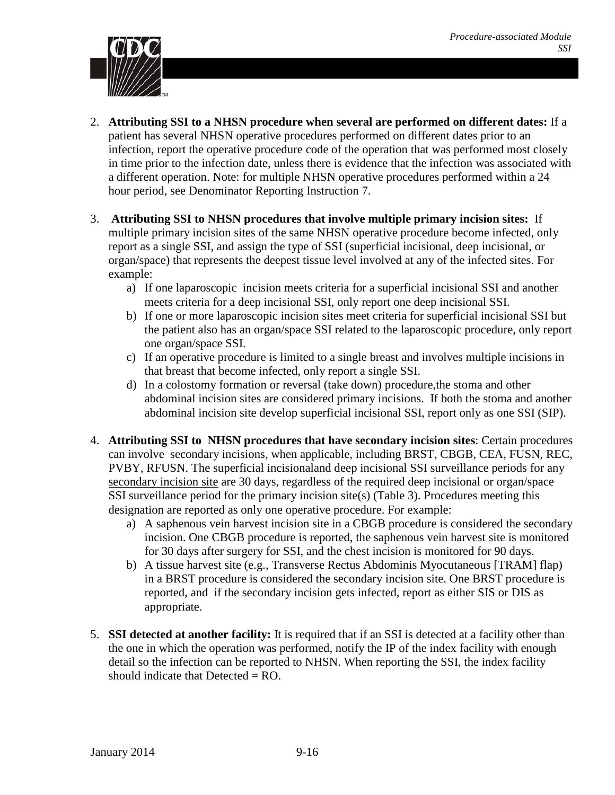

- 2. **Attributing SSI to a NHSN procedure when several are performed on different dates:** If a patient has several NHSN operative procedures performed on different dates prior to an infection, report the operative procedure code of the operation that was performed most closely in time prior to the infection date, unless there is evidence that the infection was associated with a different operation. Note: for multiple NHSN operative procedures performed within a 24 hour period, see Denominator Reporting Instruction 7.
- 3. **Attributing SSI to NHSN procedures that involve multiple primary incision sites:** If multiple primary incision sites of the same NHSN operative procedure become infected, only report as a single SSI, and assign the type of SSI (superficial incisional, deep incisional, or organ/space) that represents the deepest tissue level involved at any of the infected sites. For example:
	- a) If one laparoscopic incision meets criteria for a superficial incisional SSI and another meets criteria for a deep incisional SSI, only report one deep incisional SSI.
	- b) If one or more laparoscopic incision sites meet criteria for superficial incisional SSI but the patient also has an organ/space SSI related to the laparoscopic procedure, only report one organ/space SSI.
	- c) If an operative procedure is limited to a single breast and involves multiple incisions in that breast that become infected, only report a single SSI.
	- d) In a colostomy formation or reversal (take down) procedure,the stoma and other abdominal incision sites are considered primary incisions. If both the stoma and another abdominal incision site develop superficial incisional SSI, report only as one SSI (SIP).
- 4. **Attributing SSI to NHSN procedures that have secondary incision sites**: Certain procedures can involve secondary incisions, when applicable, including BRST, CBGB, CEA, FUSN, REC, PVBY, RFUSN. The superficial incisionaland deep incisional SSI surveillance periods for any secondary incision site are 30 days, regardless of the required deep incisional or organ/space SSI surveillance period for the primary incision site(s) (Table 3). Procedures meeting this designation are reported as only one operative procedure. For example:
	- a) A saphenous vein harvest incision site in a CBGB procedure is considered the secondary incision. One CBGB procedure is reported, the saphenous vein harvest site is monitored for 30 days after surgery for SSI, and the chest incision is monitored for 90 days.
	- b) A tissue harvest site (e.g., Transverse Rectus Abdominis Myocutaneous [TRAM] flap) in a BRST procedure is considered the secondary incision site. One BRST procedure is reported, and if the secondary incision gets infected, report as either SIS or DIS as appropriate.
- 5. **SSI detected at another facility:** It is required that if an SSI is detected at a facility other than the one in which the operation was performed, notify the IP of the index facility with enough detail so the infection can be reported to NHSN. When reporting the SSI, the index facility should indicate that Detected  $=$  RO.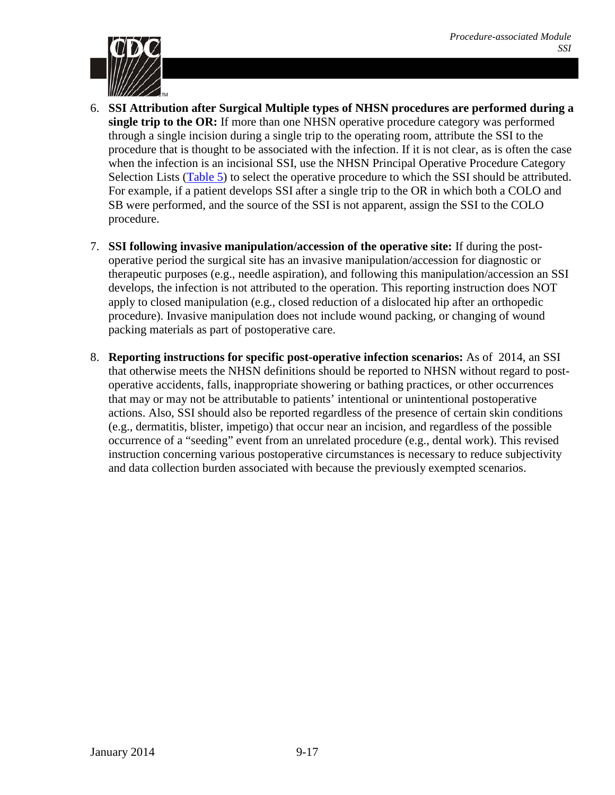

- 6. **SSI Attribution after Surgical Multiple types of NHSN procedures are performed during a single trip to the OR:** If more than one NHSN operative procedure category was performed through a single incision during a single trip to the operating room, attribute the SSI to the procedure that is thought to be associated with the infection. If it is not clear, as is often the case when the infection is an incisional SSI, use the NHSN Principal Operative Procedure Category Selection Lists [\(Table 5\)](#page-17-0) to select the operative procedure to which the SSI should be attributed. For example, if a patient develops SSI after a single trip to the OR in which both a COLO and SB were performed, and the source of the SSI is not apparent, assign the SSI to the COLO procedure.
- 7. **SSI following invasive manipulation/accession of the operative site:** If during the postoperative period the surgical site has an invasive manipulation/accession for diagnostic or therapeutic purposes (e.g., needle aspiration), and following this manipulation/accession an SSI develops, the infection is not attributed to the operation. This reporting instruction does NOT apply to closed manipulation (e.g., closed reduction of a dislocated hip after an orthopedic procedure). Invasive manipulation does not include wound packing, or changing of wound packing materials as part of postoperative care.
- 8. **Reporting instructions for specific post-operative infection scenarios:** As of 2014, an SSI that otherwise meets the NHSN definitions should be reported to NHSN without regard to postoperative accidents, falls, inappropriate showering or bathing practices, or other occurrences that may or may not be attributable to patients' intentional or unintentional postoperative actions. Also, SSI should also be reported regardless of the presence of certain skin conditions (e.g., dermatitis, blister, impetigo) that occur near an incision, and regardless of the possible occurrence of a "seeding" event from an unrelated procedure (e.g., dental work). This revised instruction concerning various postoperative circumstances is necessary to reduce subjectivity and data collection burden associated with because the previously exempted scenarios.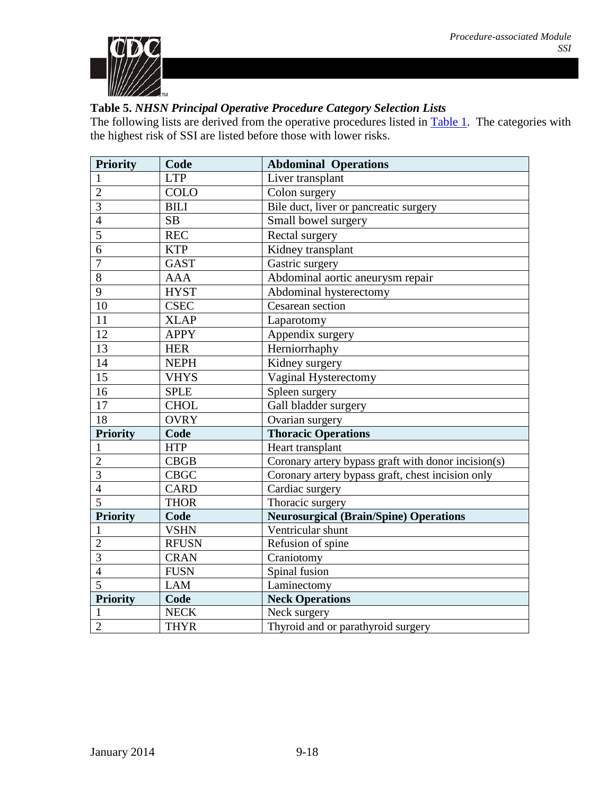

## <span id="page-17-0"></span>**Table 5.** *NHSN Principal Operative Procedure Category Selection Lists*

The following lists are derived from the operative procedures listed in **Table 1**. The categories with the highest risk of SSI are listed before those with lower risks.

| <b>Priority</b>         | Code         | <b>Abdominal Operations</b>                         |  |
|-------------------------|--------------|-----------------------------------------------------|--|
| $\mathbf{1}$            | <b>LTP</b>   | Liver transplant                                    |  |
| $\overline{2}$          | <b>COLO</b>  | Colon surgery                                       |  |
| $\overline{3}$          | <b>BILI</b>  | Bile duct, liver or pancreatic surgery              |  |
| $\overline{4}$          | SB           | Small bowel surgery                                 |  |
| $\overline{5}$          | <b>REC</b>   | Rectal surgery                                      |  |
| 6                       | <b>KTP</b>   | Kidney transplant                                   |  |
| $\overline{7}$          | <b>GAST</b>  | Gastric surgery                                     |  |
| $\overline{8}$          | <b>AAA</b>   | Abdominal aortic aneurysm repair                    |  |
| $\overline{9}$          | <b>HYST</b>  | Abdominal hysterectomy                              |  |
| 10                      | <b>CSEC</b>  | Cesarean section                                    |  |
| 11                      | <b>XLAP</b>  | Laparotomy                                          |  |
| 12                      | <b>APPY</b>  | Appendix surgery                                    |  |
| $\overline{13}$         | <b>HER</b>   | Herniorrhaphy                                       |  |
| 14                      | <b>NEPH</b>  | Kidney surgery                                      |  |
| $\overline{15}$         | <b>VHYS</b>  | Vaginal Hysterectomy                                |  |
| $\overline{16}$         | <b>SPLE</b>  | Spleen surgery                                      |  |
| 17                      | <b>CHOL</b>  | Gall bladder surgery                                |  |
| 18                      | <b>OVRY</b>  | Ovarian surgery                                     |  |
| <b>Priority</b>         | Code         | <b>Thoracic Operations</b>                          |  |
| $\mathbf{1}$            | <b>HTP</b>   | Heart transplant                                    |  |
| $\overline{2}$          | CBGB         | Coronary artery bypass graft with donor incision(s) |  |
| $\overline{\mathbf{3}}$ | <b>CBGC</b>  | Coronary artery bypass graft, chest incision only   |  |
| $\overline{4}$          | <b>CARD</b>  | Cardiac surgery                                     |  |
| $\overline{5}$          | <b>THOR</b>  | Thoracic surgery                                    |  |
| <b>Priority</b>         | Code         | <b>Neurosurgical (Brain/Spine) Operations</b>       |  |
| $\mathbf{1}$            | <b>VSHN</b>  | Ventricular shunt                                   |  |
| $\overline{2}$          | <b>RFUSN</b> | Refusion of spine                                   |  |
| $\overline{3}$          | <b>CRAN</b>  | Craniotomy                                          |  |
| $\overline{4}$          | <b>FUSN</b>  | Spinal fusion                                       |  |
| $\overline{5}$          | <b>LAM</b>   | Laminectomy                                         |  |
| <b>Priority</b>         | Code         | <b>Neck Operations</b>                              |  |
| $\mathbf{1}$            | <b>NECK</b>  | Neck surgery                                        |  |
| $\overline{2}$          | <b>THYR</b>  | Thyroid and or parathyroid surgery                  |  |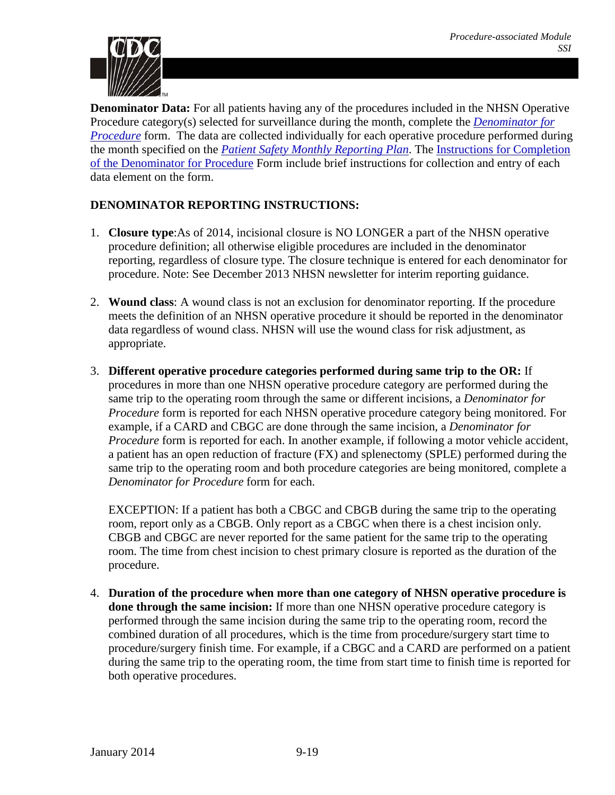

**Denominator Data:** For all patients having any of the procedures included in the NHSN Operative Procedure category(s) selected for surveillance during the month, complete the *[Denominator for](http://www.cdc.gov/nhsn/forms/57.121_DenomProc_BLANK.pdf)  [Procedure](http://www.cdc.gov/nhsn/forms/57.121_DenomProc_BLANK.pdf)* form. The data are collected individually for each operative procedure performed during the month specified on the *[Patient Safety Monthly Reporting](http://www.cdc.gov/nhsn/forms/57.106_PSReportPlan_BLANK.pdf) Plan*. The [Instructions for Completion](http://www.cdc.gov/nhsn/forms/instr/57_121.pdf)  [of the Denominator for Procedure](http://www.cdc.gov/nhsn/forms/instr/57_121.pdf) Form include brief instructions for collection and entry of each data element on the form.

## <span id="page-18-0"></span>**DENOMINATOR REPORTING INSTRUCTIONS:**

- 1. **Closure type**:As of 2014, incisional closure is NO LONGER a part of the NHSN operative procedure definition; all otherwise eligible procedures are included in the denominator reporting, regardless of closure type. The closure technique is entered for each denominator for procedure. Note: See December 2013 NHSN newsletter for interim reporting guidance.
- 2. **Wound class**: A wound class is not an exclusion for denominator reporting. If the procedure meets the definition of an NHSN operative procedure it should be reported in the denominator data regardless of wound class. NHSN will use the wound class for risk adjustment, as appropriate.
- 3. **Different operative procedure categories performed during same trip to the OR:** If procedures in more than one NHSN operative procedure category are performed during the same trip to the operating room through the same or different incisions, a *Denominator for Procedure* form is reported for each NHSN operative procedure category being monitored. For example, if a CARD and CBGC are done through the same incision, a *Denominator for Procedure* form is reported for each. In another example, if following a motor vehicle accident, a patient has an open reduction of fracture (FX) and splenectomy (SPLE) performed during the same trip to the operating room and both procedure categories are being monitored, complete a *Denominator for Procedure* form for each.

EXCEPTION: If a patient has both a CBGC and CBGB during the same trip to the operating room, report only as a CBGB. Only report as a CBGC when there is a chest incision only. CBGB and CBGC are never reported for the same patient for the same trip to the operating room. The time from chest incision to chest primary closure is reported as the duration of the procedure.

4. **Duration of the procedure when more than one category of NHSN operative procedure is done through the same incision:** If more than one NHSN operative procedure category is performed through the same incision during the same trip to the operating room, record the combined duration of all procedures, which is the time from procedure/surgery start time to procedure/surgery finish time. For example, if a CBGC and a CARD are performed on a patient during the same trip to the operating room, the time from start time to finish time is reported for both operative procedures.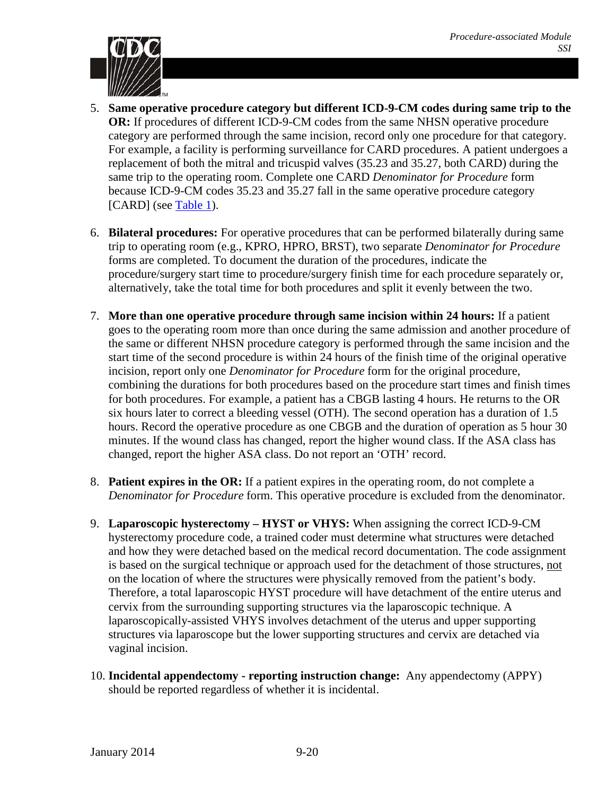

- 5. **Same operative procedure category but different ICD-9-CM codes during same trip to the OR:** If procedures of different ICD-9-CM codes from the same NHSN operative procedure category are performed through the same incision, record only one procedure for that category. For example, a facility is performing surveillance for CARD procedures. A patient undergoes a replacement of both the mitral and tricuspid valves (35.23 and 35.27, both CARD) during the same trip to the operating room. Complete one CARD *Denominator for Procedure* form because ICD-9-CM codes 35.23 and 35.27 fall in the same operative procedure category [CARD] (see [Table 1\)](#page-2-0).
- 6. **Bilateral procedures:** For operative procedures that can be performed bilaterally during same trip to operating room (e.g., KPRO, HPRO, BRST), two separate *Denominator for Procedure* forms are completed. To document the duration of the procedures, indicate the procedure/surgery start time to procedure/surgery finish time for each procedure separately or, alternatively, take the total time for both procedures and split it evenly between the two.
- 7. **More than one operative procedure through same incision within 24 hours:** If a patient goes to the operating room more than once during the same admission and another procedure of the same or different NHSN procedure category is performed through the same incision and the start time of the second procedure is within 24 hours of the finish time of the original operative incision, report only one *Denominator for Procedure* form for the original procedure, combining the durations for both procedures based on the procedure start times and finish times for both procedures. For example, a patient has a CBGB lasting 4 hours. He returns to the OR six hours later to correct a bleeding vessel (OTH). The second operation has a duration of 1.5 hours. Record the operative procedure as one CBGB and the duration of operation as 5 hour 30 minutes. If the wound class has changed, report the higher wound class. If the ASA class has changed, report the higher ASA class. Do not report an 'OTH' record.
- 8. **Patient expires in the OR:** If a patient expires in the operating room, do not complete a *Denominator for Procedure* form. This operative procedure is excluded from the denominator.
- 9. **Laparoscopic hysterectomy – HYST or VHYS:** When assigning the correct ICD-9-CM hysterectomy procedure code, a trained coder must determine what structures were detached and how they were detached based on the medical record documentation. The code assignment is based on the surgical technique or approach used for the detachment of those structures, not on the location of where the structures were physically removed from the patient's body. Therefore, a total laparoscopic HYST procedure will have detachment of the entire uterus and cervix from the surrounding supporting structures via the laparoscopic technique. A laparoscopically-assisted VHYS involves detachment of the uterus and upper supporting structures via laparoscope but the lower supporting structures and cervix are detached via vaginal incision.
- 10. **Incidental appendectomy - reporting instruction change:** Any appendectomy (APPY) should be reported regardless of whether it is incidental.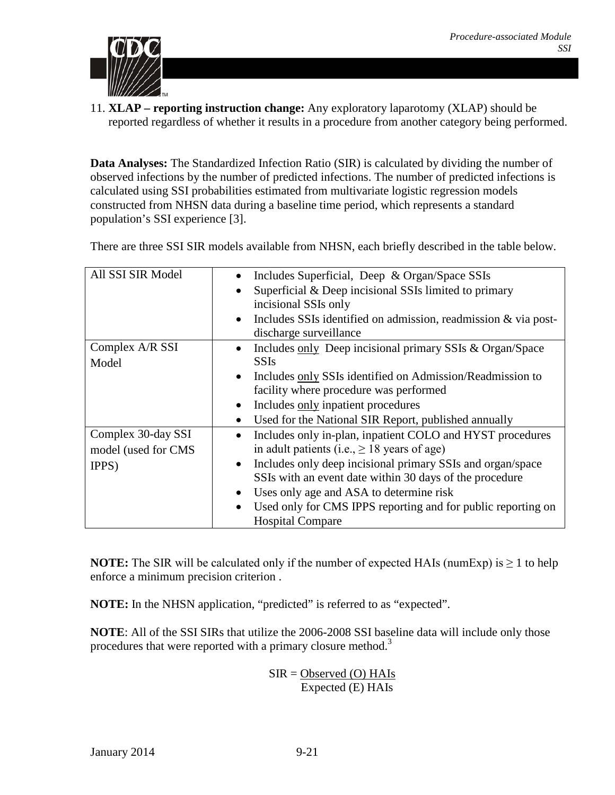

11. **XLAP – reporting instruction change:** Any exploratory laparotomy (XLAP) should be reported regardless of whether it results in a procedure from another category being performed.

**Data Analyses:** The Standardized Infection Ratio (SIR) is calculated by dividing the number of observed infections by the number of predicted infections. The number of predicted infections is calculated using SSI probabilities estimated from multivariate logistic regression models constructed from NHSN data during a baseline time period, which represents a standard population's SSI experience [\[3\]](#page-21-2).

There are three SSI SIR models available from NHSN, each briefly described in the table below.

| All SSI SIR Model   | Includes Superficial, Deep & Organ/Space SSIs<br>$\bullet$              |
|---------------------|-------------------------------------------------------------------------|
|                     | Superficial & Deep incisional SSIs limited to primary                   |
|                     | incisional SSIs only                                                    |
|                     | Includes SSIs identified on admission, readmission $\&$ via post-       |
|                     | discharge surveillance                                                  |
| Complex A/R SSI     | Includes only Deep incisional primary SSIs & Organ/Space                |
| Model               | <b>SSIs</b>                                                             |
|                     | Includes only SSIs identified on Admission/Readmission to<br>$\bullet$  |
|                     | facility where procedure was performed                                  |
|                     | Includes only inpatient procedures<br>$\bullet$                         |
|                     | Used for the National SIR Report, published annually<br>$\bullet$       |
| Complex 30-day SSI  | Includes only in-plan, inpatient COLO and HYST procedures<br>$\bullet$  |
| model (used for CMS | in adult patients (i.e., $\geq$ 18 years of age)                        |
| IPPS)               | Includes only deep incisional primary SSIs and organ/space<br>$\bullet$ |
|                     | SSIs with an event date within 30 days of the procedure                 |
|                     | Uses only age and ASA to determine risk                                 |
|                     | Used only for CMS IPPS reporting and for public reporting on            |
|                     | <b>Hospital Compare</b>                                                 |

**NOTE:** The SIR will be calculated only if the number of expected HAIs (numExp) is  $\geq 1$  to help enforce a minimum precision criterion .

**NOTE:** In the NHSN application, "predicted" is referred to as "expected".

**NOTE**: All of the SSI SIRs that utilize the 2006-2008 SSI baseline data will include only those procedures that were reported with a primary closure method.<sup>3</sup>

> $SIR = Observed (O) HAIs$ Expected (E) HAIs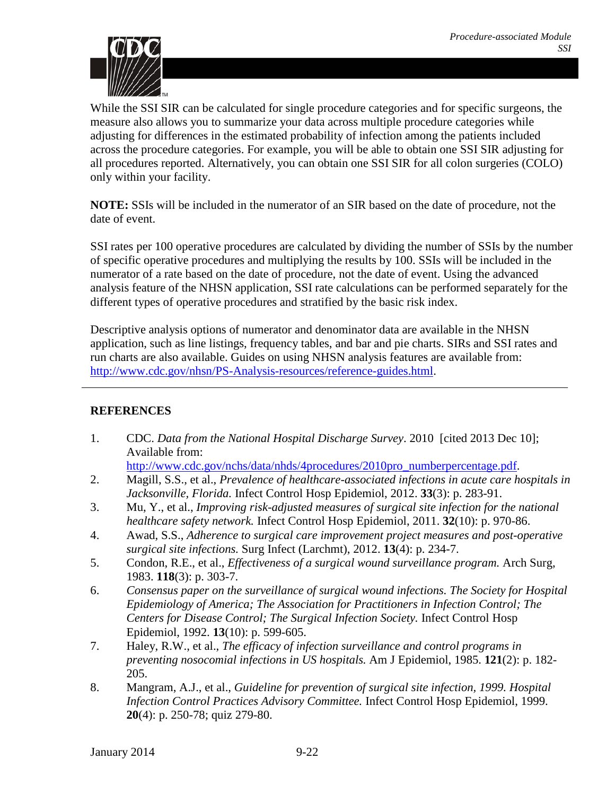

While the SSI SIR can be calculated for single procedure categories and for specific surgeons, the measure also allows you to summarize your data across multiple procedure categories while adjusting for differences in the estimated probability of infection among the patients included across the procedure categories. For example, you will be able to obtain one SSI SIR adjusting for all procedures reported. Alternatively, you can obtain one SSI SIR for all colon surgeries (COLO) only within your facility.

**NOTE:** SSIs will be included in the numerator of an SIR based on the date of procedure, not the date of event.

SSI rates per 100 operative procedures are calculated by dividing the number of SSIs by the number of specific operative procedures and multiplying the results by 100. SSIs will be included in the numerator of a rate based on the date of procedure, not the date of event. Using the advanced analysis feature of the NHSN application, SSI rate calculations can be performed separately for the different types of operative procedures and stratified by the basic risk index.

Descriptive analysis options of numerator and denominator data are available in the NHSN application, such as line listings, frequency tables, and bar and pie charts. SIRs and SSI rates and run charts are also available. Guides on using NHSN analysis features are available from: [http://www.cdc.gov/nhsn/PS-Analysis-resources/reference-guides.html.](http://www.cdc.gov/nhsn/PS-Analysis-resources/reference-guides.html)

### **REFERENCES**

<span id="page-21-0"></span>1. CDC. *Data from the National Hospital Discharge Survey*. 2010 [cited 2013 Dec 10]; Available from:

[http://www.cdc.gov/nchs/data/nhds/4procedures/2010pro\\_numberpercentage.pdf.](http://www.cdc.gov/nchs/data/nhds/4procedures/2010pro_numberpercentage.pdf)

- <span id="page-21-1"></span>2. Magill, S.S., et al., *Prevalence of healthcare-associated infections in acute care hospitals in Jacksonville, Florida.* Infect Control Hosp Epidemiol, 2012. **33**(3): p. 283-91.
- <span id="page-21-2"></span>3. Mu, Y., et al., *Improving risk-adjusted measures of surgical site infection for the national healthcare safety network.* Infect Control Hosp Epidemiol, 2011. **32**(10): p. 970-86.
- <span id="page-21-3"></span>4. Awad, S.S., *Adherence to surgical care improvement project measures and post-operative surgical site infections.* Surg Infect (Larchmt), 2012. **13**(4): p. 234-7.
- <span id="page-21-4"></span>5. Condon, R.E., et al., *Effectiveness of a surgical wound surveillance program.* Arch Surg, 1983. **118**(3): p. 303-7.
- <span id="page-21-5"></span>6. *Consensus paper on the surveillance of surgical wound infections. The Society for Hospital Epidemiology of America; The Association for Practitioners in Infection Control; The Centers for Disease Control; The Surgical Infection Society.* Infect Control Hosp Epidemiol, 1992. **13**(10): p. 599-605.
- <span id="page-21-6"></span>7. Haley, R.W., et al., *The efficacy of infection surveillance and control programs in preventing nosocomial infections in US hospitals.* Am J Epidemiol, 1985. **121**(2): p. 182- 205.
- <span id="page-21-7"></span>8. Mangram, A.J., et al., *Guideline for prevention of surgical site infection, 1999. Hospital Infection Control Practices Advisory Committee.* Infect Control Hosp Epidemiol, 1999. **20**(4): p. 250-78; quiz 279-80.